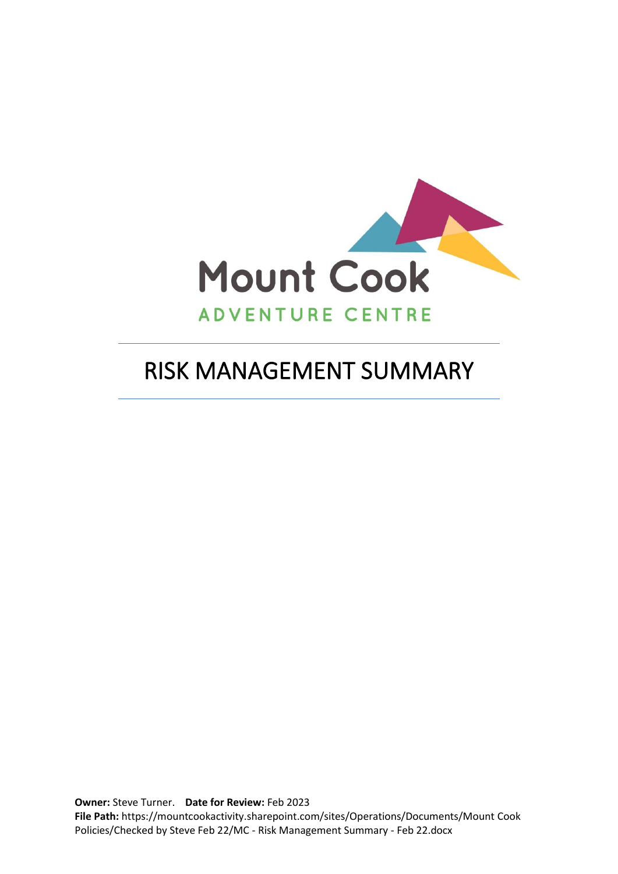

# RISK MANAGEMENT SUMMARY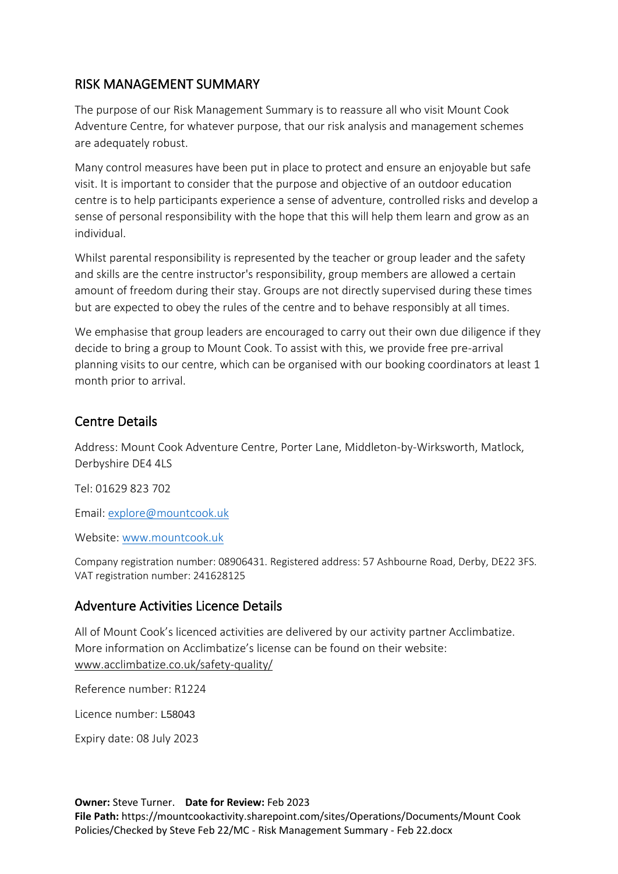## RISK MANAGEMENT SUMMARY

The purpose of our Risk Management Summary is to reassure all who visit Mount Cook Adventure Centre, for whatever purpose, that our risk analysis and management schemes are adequately robust.

Many control measures have been put in place to protect and ensure an enjoyable but safe visit. It is important to consider that the purpose and objective of an outdoor education centre is to help participants experience a sense of adventure, controlled risks and develop a sense of personal responsibility with the hope that this will help them learn and grow as an individual.

Whilst parental responsibility is represented by the teacher or group leader and the safety and skills are the centre instructor's responsibility, group members are allowed a certain amount of freedom during their stay. Groups are not directly supervised during these times but are expected to obey the rules of the centre and to behave responsibly at all times.

We emphasise that group leaders are encouraged to carry out their own due diligence if they decide to bring a group to Mount Cook. To assist with this, we provide free pre-arrival planning visits to our centre, which can be organised with our booking coordinators at least 1 month prior to arrival.

## Centre Details

Address: Mount Cook Adventure Centre, Porter Lane, Middleton-by-Wirksworth, Matlock, Derbyshire DE4 4LS

Tel: 01629 823 702

Email: [explore@mountcook.uk](mailto:explore@mountcook.uk)

Website: [www.mountcook.uk](http://www.mountcook.uk/)

Company registration number: 08906431. Registered address: 57 Ashbourne Road, Derby, DE22 3FS. VAT registration number: 241628125

### Adventure Activities Licence Details

All of Mount Cook's licenced activities are delivered by our activity partner Acclimbatize. More information on Acclimbatize's license can be found on their website: [www.acclimbatize.co.uk/safety-quality/](http://www.acclimbatize.co.uk/safety-quality/)

Reference number: R1224

Licence number: L58043

Expiry date: 08 July 2023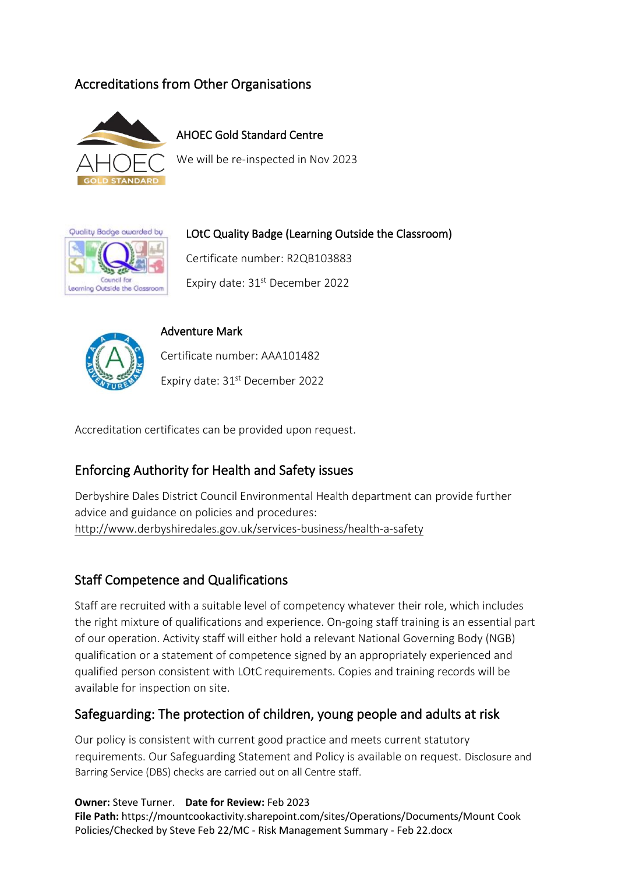# Accreditations from Other Organisations



AHOEC Gold Standard Centre

We will be re-inspected in Nov 2023



LOtC Quality Badge (Learning Outside the Classroom)

Certificate number: R2QB103883

Expiry date: 31<sup>st</sup> December 2022



#### Adventure Mark

Certificate number: AAA101482

Expiry date: 31st December 2022

Accreditation certificates can be provided upon request.

## Enforcing Authority for Health and Safety issues

Derbyshire Dales District Council Environmental Health department can provide further advice and guidance on policies and procedures: <http://www.derbyshiredales.gov.uk/services-business/health-a-safety>

## Staff Competence and Qualifications

Staff are recruited with a suitable level of competency whatever their role, which includes the right mixture of qualifications and experience. On-going staff training is an essential part of our operation. Activity staff will either hold a relevant National Governing Body (NGB) qualification or a statement of competence signed by an appropriately experienced and qualified person consistent with LOtC requirements. Copies and training records will be available for inspection on site.

## Safeguarding: The protection of children, young people and adults at risk

Our policy is consistent with current good practice and meets current statutory requirements. Our Safeguarding Statement and Policy is available on request. Disclosure and Barring Service (DBS) checks are carried out on all Centre staff.

**Owner:** Steve Turner. **Date for Review:** Feb 2023 **File Path:** https://mountcookactivity.sharepoint.com/sites/Operations/Documents/Mount Cook Policies/Checked by Steve Feb 22/MC - Risk Management Summary - Feb 22.docx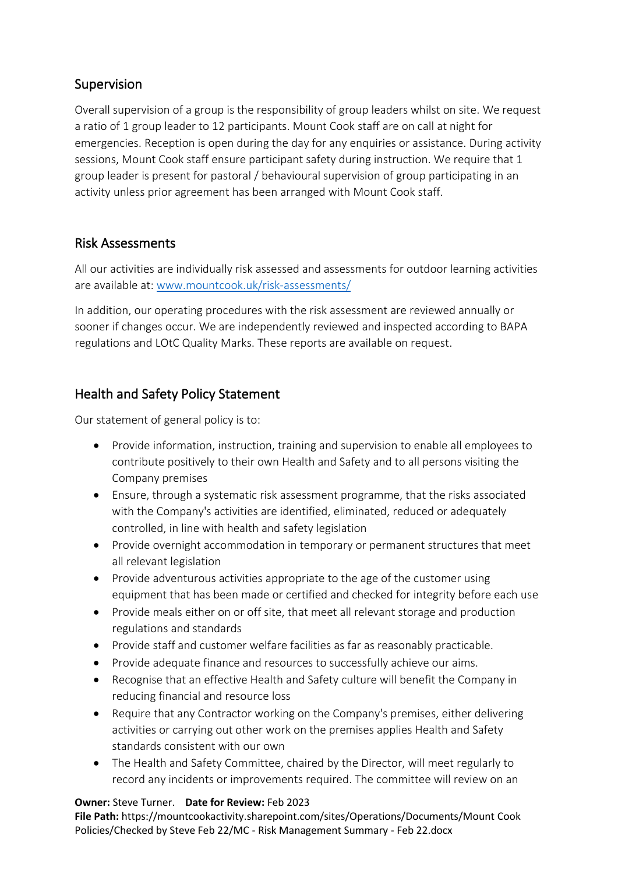## Supervision

Overall supervision of a group is the responsibility of group leaders whilst on site. We request a ratio of 1 group leader to 12 participants. Mount Cook staff are on call at night for emergencies. Reception is open during the day for any enquiries or assistance. During activity sessions, Mount Cook staff ensure participant safety during instruction. We require that 1 group leader is present for pastoral / behavioural supervision of group participating in an activity unless prior agreement has been arranged with Mount Cook staff.

### Risk Assessments

All our activities are individually risk assessed and assessments for outdoor learning activities are available at: [www.mountcook.uk/risk-assessments/](http://www.mountcook.uk/risk-assessments/)

In addition, our operating procedures with the risk assessment are reviewed annually or sooner if changes occur. We are independently reviewed and inspected according to BAPA regulations and LOtC Quality Marks. These reports are available on request.

## Health and Safety Policy Statement

Our statement of general policy is to:

- Provide information, instruction, training and supervision to enable all employees to contribute positively to their own Health and Safety and to all persons visiting the Company premises
- Ensure, through a systematic risk assessment programme, that the risks associated with the Company's activities are identified, eliminated, reduced or adequately controlled, in line with health and safety legislation
- Provide overnight accommodation in temporary or permanent structures that meet all relevant legislation
- Provide adventurous activities appropriate to the age of the customer using equipment that has been made or certified and checked for integrity before each use
- Provide meals either on or off site, that meet all relevant storage and production regulations and standards
- Provide staff and customer welfare facilities as far as reasonably practicable.
- Provide adequate finance and resources to successfully achieve our aims.
- Recognise that an effective Health and Safety culture will benefit the Company in reducing financial and resource loss
- Require that any Contractor working on the Company's premises, either delivering activities or carrying out other work on the premises applies Health and Safety standards consistent with our own
- The Health and Safety Committee, chaired by the Director, will meet regularly to record any incidents or improvements required. The committee will review on an

#### **Owner:** Steve Turner. **Date for Review:** Feb 2023

**File Path:** https://mountcookactivity.sharepoint.com/sites/Operations/Documents/Mount Cook Policies/Checked by Steve Feb 22/MC - Risk Management Summary - Feb 22.docx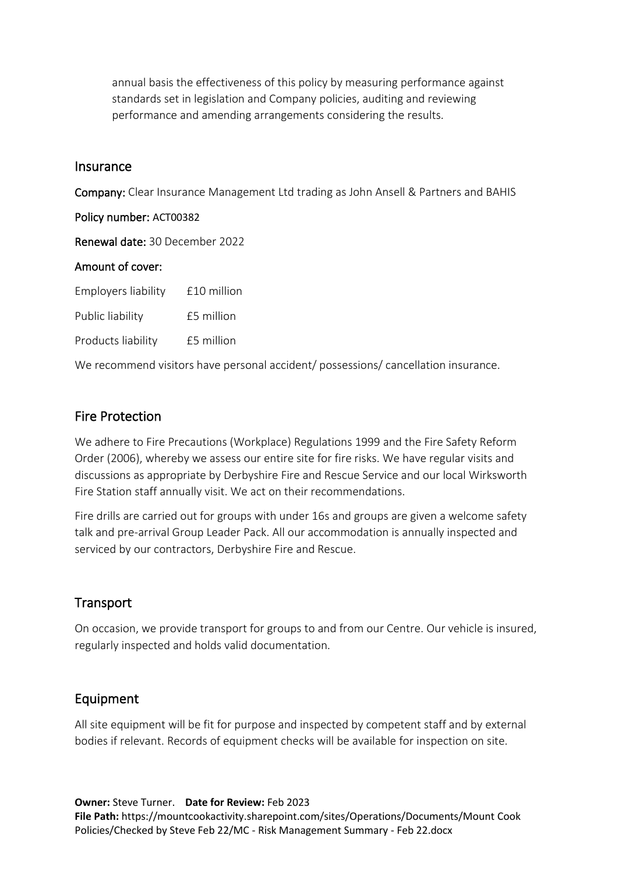annual basis the effectiveness of this policy by measuring performance against standards set in legislation and Company policies, auditing and reviewing performance and amending arrangements considering the results.

#### Insurance

Company: Clear Insurance Management Ltd trading as John Ansell & Partners and BAHIS Policy number: ACT00382 Renewal date: 30 December 2022 Amount of cover: Employers liability £10 million Public liability £5 million Products liability £5 million

We recommend visitors have personal accident/ possessions/ cancellation insurance.

#### Fire Protection

We adhere to Fire Precautions (Workplace) Regulations 1999 and the Fire Safety Reform Order (2006), whereby we assess our entire site for fire risks. We have regular visits and discussions as appropriate by Derbyshire Fire and Rescue Service and our local Wirksworth Fire Station staff annually visit. We act on their recommendations.

Fire drills are carried out for groups with under 16s and groups are given a welcome safety talk and pre-arrival Group Leader Pack. All our accommodation is annually inspected and serviced by our contractors, Derbyshire Fire and Rescue.

### **Transport**

On occasion, we provide transport for groups to and from our Centre. Our vehicle is insured, regularly inspected and holds valid documentation.

### Equipment

All site equipment will be fit for purpose and inspected by competent staff and by external bodies if relevant. Records of equipment checks will be available for inspection on site.